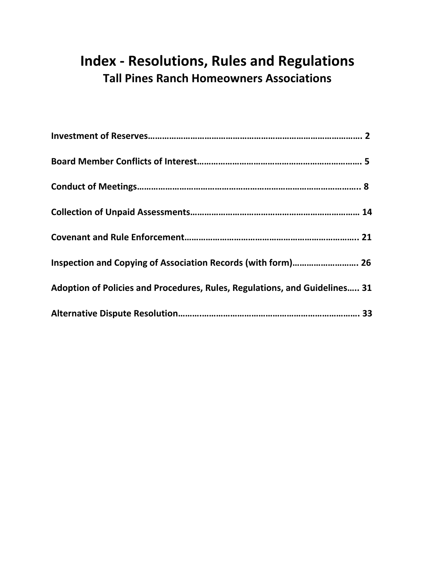# **Index ‐ Resolutions, Rules and Regulations Tall Pines Ranch Homeowners Associations**

| Inspection and Copying of Association Records (with form) 26               |  |
|----------------------------------------------------------------------------|--|
| Adoption of Policies and Procedures, Rules, Regulations, and Guidelines 31 |  |
|                                                                            |  |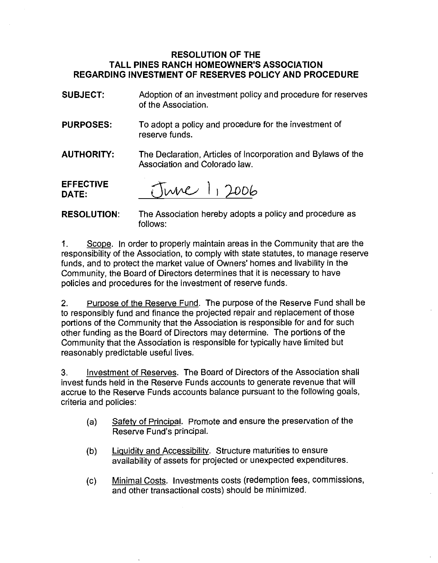#### RESOLUTION OF THE TALL PINES RANCH HOMEOWNER'S ASSOCIATION REGARDING INVESTMENT OF RESERVES POLICY AND PROCEDURE

- SUBJECT: Adoption of an investment policy and procedure for reserves of the Association.
- PURPOSES: To adopt a policy and procedure for the investment of reserve funds.
- AUTHORITY: The Declaration, Articles of Incorporation and Bylaws of the Association and Colorado law.

EFFECTIVE June 1, 2006

RESOLUTION: The Association hereby adopts a policy and procedure as follows:

1. Scope. In order to properly maintain areas in the Community that are the responsibility of the Association, to comply with state statutes, to manage reserve funds, and to protect the market value of Owners' homes and livability in the Community, the Board of Directors determines that it is necessary to have policies and procedures for the investment of reserve funds.

2. Purpose of the Reserve Fund. The purpose of the Reserve Fund shall be to responsibly fund and finance the projected repair and replacement of those portions of the Community that the Association is responsible for and for such other funding as the Board of Directors may determine. The portions of the Community that the Association is responsible for typically have limited but reasonably predictable useful lives.

3. Investment of Reserves. The Board of Directors of the Association shall invest funds held in the Reserve Funds accounts to generate revenue that will accrue to the Reserve Funds accounts balance pursuant to the following goals, criteria and policies:

- (a) Safety of Principal. Promote and ensure the preservation of the Reserve Fund's principal.
- (b) Liquidity and Accessibility. Structure maturities to ensure availability of assets for projected or unexpected expenditures.
- (c) Minimal Costs. Investments costs (redemption fees, commissions, and other transactional costs) should be minimized.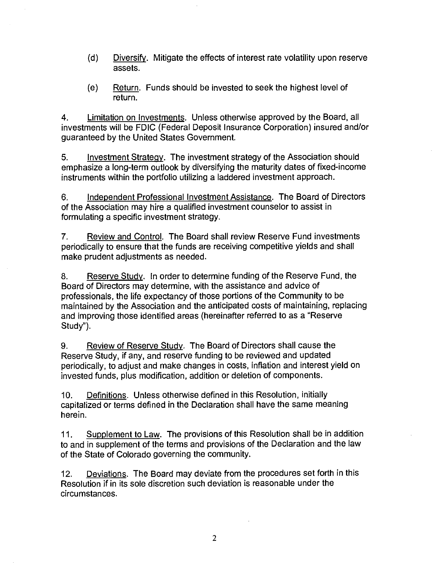- (d) Diversify. Mitigate the effects of interest rate volatility upon reserve assets.
- (e) Return. Funds should be invested to seek the highest level of return.

4. Limitation on Investments. Unless otherwise approved by the Board, all investments will be FDIC (Federal Deposit Insurance Corporation) insured and/or guaranteed by the United States Government.

5. Investment Strategy. The investment strategy of the Association should emphasize a long-term outlook by diversifying the maturity dates of fixed-income instruments within the portfolio utilizing a laddered investment approach.

6. Independent Professional Investment Assistance. The Board of Directors of the Association may hire a qualified investment counselor to assist in formulating a specific investment strategy.

7. Review and Control. The Board shall review Reserve Fund investments periodically to ensure that the funds are receiving competitive yields and shall make prudent adjustments as needed.

8. Reserve Study. In order to determine funding of the Reserve Fund, the Board of Directors may determine, with the assistance and advice of professionals, the life expectancy of those portions of the Community to be maintained by the Association and the anticipated costs of maintaining, replacing and improving those identified areas (hereinafter referred to as a "Reserve Study").

9. Review of Reserve Study. The Board of Directors shall cause the Reserve Study, if any, and reserve funding to be reviewed and updated periodically, to adjust and make changes in costs, inflation and interest yield on invested funds, plus modification, addition or deletion of components.

10. Definitions. Unless otherwise defined in this Resolution, initially capitalized or terms defined in the Declaration shall have the same meaning herein.

11. Supplement to Law. The provisions of this Resolution shall be in addition to and in supplement of the terms and provisions of the Declaration and the law of the State of Colorado governing the community.

12. Deviations. The Board may deviate from the procedures set forth in this Resolution if in its sole discretion such deviation is reasonable under the circumstances.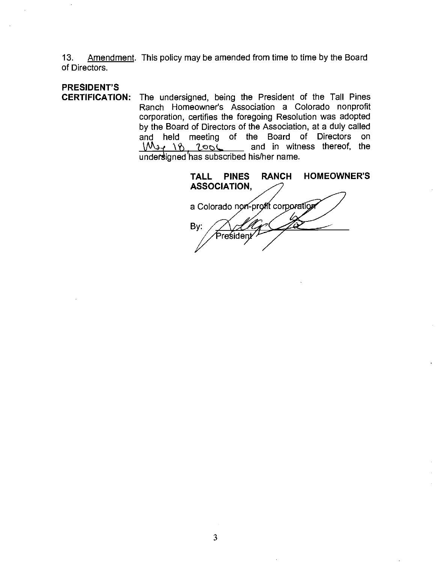13. Amendment. This policy may be amended from time to time by the Board of Directors.

### PRESIDENT'S

CERTIFICATION: The undersigned, being the President of the Tall Pines Ranch Homeowner's Association a Colorado nonprofit corporation, certifies the foregoing Resolution was adopted by the Board of Directors of the Association, at a duly called<br>and held meeting of the Board of Directors on and held meeting of the Board of Directors on<br><u>(八) (も,てった、 </u> and in witness thereof, the under<del>s</del>igned has subscribed his/her name.

TALL PINES RANCH HOMEOWNER'S ASSOCIATION, a Colorado non-profit corporation By: 'resident

3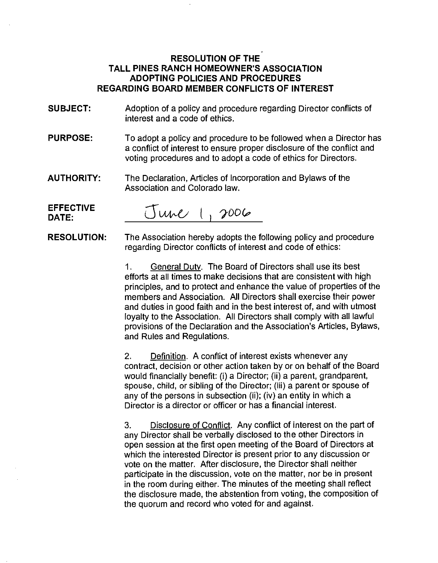### RESOLUTION OF THE TALL PINES RANCH HOMEOWNER'S ASSOCIATION ADOPTING POLICIES AND PROCEDURES REGARDING BOARD MEMBER CONFLICTS OF INTEREST

- SUBJECT: Adoption of a policy and procedure regarding Director conflicts of interest and a code of ethics.
- PURPOSE: To adopt a policy and procedure to be followed when a Director has a conflict of interest to ensure proper disclosure of the conflict and voting procedures and to adopt a code of ethics for Directors.
- AUTHORITY: The Declaration, Articles of Incorporation and Bylaws of the Association and Colorado law.

EFFECTIVE EFFECTIVE June 1, 2006

RESOLUTION: The Association hereby adopts the following policy and procedure regarding Director conflicts of interest and code of ethics:

> 1. General Duty. The Board of Directors shall use its best efforts at all times to make decisions that are consistent with high principles, and to protect and enhance the value of properties of the members and Association. All Directors shall exercise their power and duties in good faith and in the best interest of, and with utmost loyalty to the Association. All Directors shall comply with all lawful provisions of the Declaration and the Association's Articles, Bylaws, and Rules and Regulations.

> 2. Definition. A conflict of interest exists whenever any contract, decision or other action taken by or on behalf of the Board would financially benefit: (i) a Director; (ii) a parent, grandparent, spouse, child, or sibling of the Director; (iii) a parent or spouse of any of the persons in subsection (ii); (iv) an entity in which a Director is a director or officer or has a financial interest.

> 3. Disclosure of Conflict. Any conflict of interest on the part of any Director shall be verbally disclosed to the other Directors in open session at the first open meeting of the Board of Directors at which the interested Director is present prior to any discussion or vote on the matter. After disclosure, the Director shall neither participate in the discussion, vote on the matter, nor be in present in the room during either. The minutes of the meeting shall reflect the disclosure made, the abstention from voting, the composition of the quorum and record who voted for and against.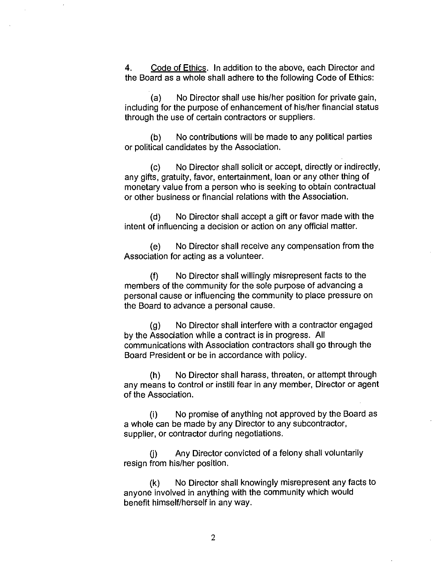4. Code of Ethics. In addition to the above, each Director and the Board as a whole shall adhere to the following Code of Ethics:

(a) No Director shall use his/her position for private gain, including for the purpose of enhancement of his/her financial status through the use of certain contractors or suppliers.

(b) No contributions will be made to any political parties or political candidates by the Association.

(c) No Director shall solicit or accept, directly or indirectly, any gifts, gratuity, favor, entertainment, loan or any other thing of monetary value from a person who is seeking to obtain contractual or other business or financial relations with the Association.

(d) No Director shall accept a gift or favor made with the intent of influencing a decision or action on any official matter.

(e) No Director shall receive any compensation from the Association for acting as a volunteer.

(f) No Director shall willingly misrepresent facts to the members of the community for the sole purpose of advancing a personal cause or influencing the community to place pressure on the Board to advance a personal cause.

(g) No Director shall interfere with a contractor engaged by the Association while a contract is in progress. All communications with Association contractors shall go through the Board President or be in accordance with policy.

(h) No Director shall harass, threaten, or attempt through any means to control or instill fear in any member, Director or agent of the Association.

(i) No promise of anything not approved by the Board as a whole can be made by any Director to any subcontractor, supplier, or contractor during negotiations.

(j) Any Director convicted of a felony shall voluntarily resign from his/her position.

(k) No Director shall knowingly misrepresent any facts to anyone involved in anything with the community which would benefit himself/herself in any way.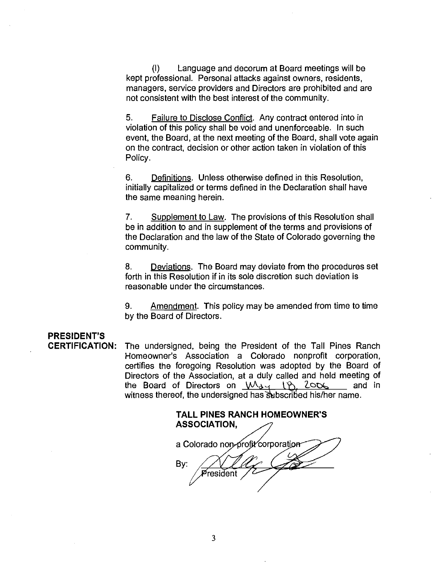(I) Language and decorum at Board meetings will be kept professional. Personal attacks against owners, residents, managers, service providers and Directors are prohibited and are not consistent with the best interest of the community.

5. Failure to Disclose Conflict. Any contract entered into in violation of this policy shall be void and unenforceable. In such event, the Board, at the next meeting of the Board, shall vote again on the contract, decision or other action taken in violation of this Policy.

6. Definitions. Unless otherwise defined in this Resolution, initially capitalized or terms defined in the Declaration shall have the same meaning herein.

7. Supplement to Law. The provisions of this Resolution shall be in addition to and in supplement of the terms and provisions of the Declaration and the law of the State of Colorado governing the community.

8. Deviations. The Board may deviate from the procedures set forth in this Resolution if in its sole discretion such deviation is reasonable under the circumstances.

9. Amendment. This policy may be amended from time to time by the Board of Directors

# PRESIDENT'S

CERTIFICATION: The undersigned, being the President of the Tall Pines Ranch Homeowner's Association a Colorado nonprofit corporation, certifies the foregoing Resolution was adopted by the Board of Directors of the Association, at a duly called and held meeting of the Board of Directors on  $MA_{11}$  ( $M_{22}$  2006 and in witness thereof, the undersigned has subscribed his/her name.

TALL PINES RANCH HOMEOWNER'S ASSOCIATION a Colorado non-profit corporation By:resident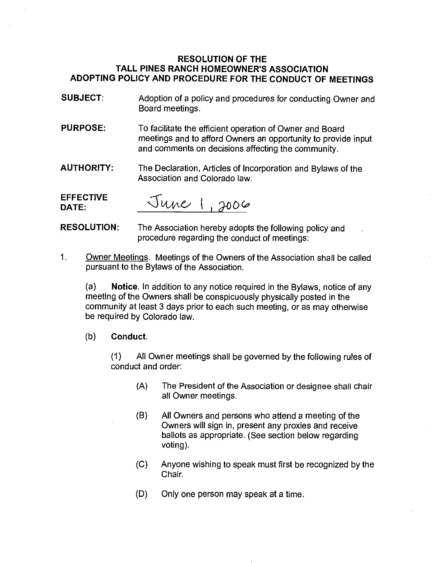#### RESOLUTION OF THE TALL PINES RANCH HOMEOWNER'S ASSOCIATION ADOPTING POLICY AND PROCEDURE FOR THE CONDUCT OF MEETINGS

- SUBJECT: Adoption of a policy and procedures for conducting Owner and Board meetings.
- PURPOSE: To facilitate the efficient operation of Owner and Board meetings and to afford Owners an opportunity to provide input and comments on decisions affecting the community.

AUTHORITY: The Declaration, Articles of Incorporation and Bylaws of the Association and Colorado law.

EFFECTIVE June 1, 2006

RESOLUTION: The Association hereby adopts the following policy and procedure regarding the conduct of meetings:

 $\mathbf{1}$ . Owner Meetings. Meetings of the Owners of the Association shall be called pursuant to the Bylaws of the Association.

(a) Notice. In addition to any notice required in the Bylaws, notice of any meeting of the Owners shall be conspicuously physically posted in the community at least 3 days prior to each such meeting, or as may otherwise be required by Colorado law.

#### (b) Conduct.

(1) All Owner meetings shall be governed by the following rules of conduct and order:

- (A) The President of the Association or designee shall chair all Owner meetings.
- (B) All Owners and persons who attend a meeting of the Owners will sign in, present any proxies and receive ballots as appropriate. (See section below regarding voting).
- (C) Anyone wishing to speak must first be recognized by the Chair.
- (D) Only one person may speak at a time.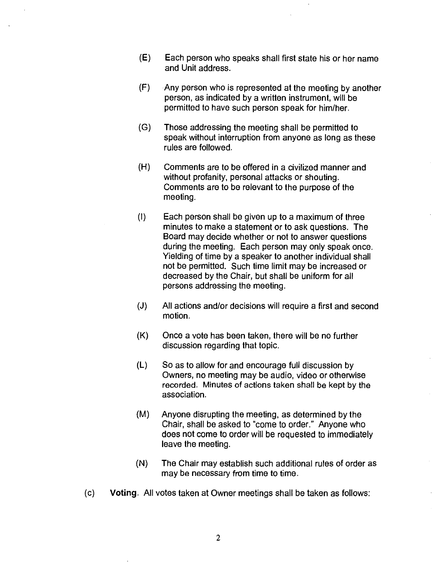- (E) Each person who speaks shall first state his or her name and Unit address.
- (F) Any person who is represented at the meeting by another person, as indicated by a written instrument, will be permitted to have such person speak for him/her.
- (G) Those addressing the meeting shall be permitted to speak without interruption from anyone as long as these rules are followed.
- (H) Comments are to be offered in a civilized manner and without profanity, personal attacks or shouting. Comments are to be relevant to the purpose of the meeting.
- (I) Each person shall be given up to a maximum of three minutes to make a statement or to ask questions. The Board may decide whether or not to answer questions during the meeting. Each person may only speak once. Yielding of time by a speaker to another individual shall not be permitted. Such time limit may be increased or decreased by the Chair, but shall be uniform for all persons addressing the meeting.
- (J) All actions and/or decisions will require a first and second motion.
- (K) Once a vote has been taken, there will be no further discussion regarding that topic.
- (L) So as to allow for and encourage full discussion by Owners, no meeting may be audio, video or otherwise recorded. Minutes of actions taken shall be kept by the association.
- (M) Anyone disrupting the meeting, as determined by the Chair, shall be asked to "come to order." Anyone who does not come to order will be requested to immediately leave the meeting.
- (N) The Chair may establish such additional rules of order as may be necessary from time to time.
- (c) Voting. All votes taken at Owner meetings shall be taken as follows: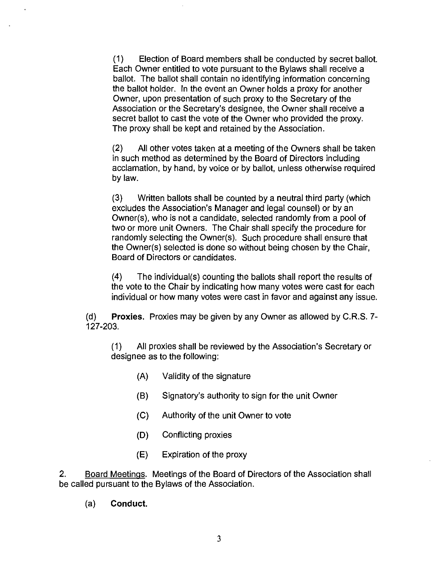(1) Election of Board members shall be conducted by secret ballot. Each Owner entitled to vote pursuant to the Bylaws shall receive a ballot. The ballot shall contain no identifying information concerning the ballot holder. In the event an Owner holds a proxy for another Owner, upon presentation of such proxy to the Secretary of the Association or the Secretary's designee, the Owner shall receive a secret ballot to cast the vote of the Owner who provided the proxy. The proxy shall be kept and retained by the Association.

(2) All other votes taken at a meeting of the Owners shall be taken in such method as determined by the Board of Directors including acclamation, by hand, by voice or by ballot, unless otherwise required by law.

(3) Written ballots shall be counted by a neutral third party (which excludes the Association's Manager and legal counsel) or by an Owner(s), who is not a candidate, selected randomly from a pool of two or more unit Owners. The Chair shall specify the procedure for randomly selecting the Owner(s). Such procedure shall ensure that the Owner(s) selected is done so without being chosen by the Chair, Board of Directors or candidates.

(4) The individual(s) counting the ballots shall report the results of the vote to the Chair by indicating how many votes were cast for each individual or how many votes were cast in favor and against any issue.

(d) Proxies. Proxies may be given by any Owner as allowed by C.R.S. 7- 127-203.

(1) All proxies shall be reviewed by the Association's Secretary or designee as to the following:

- (A) Validity of the signature
- (B) Signatory's authority to sign for the unit Owner
- (C) Authority of the unit Owner to vote
- (D) Conflicting proxies
- (E) Expiration of the proxy

2. Board Meetings. Meetings of the Board of Directors of the Association shall be called pursuant to the Bylaws of the Association.

(a) Conduct.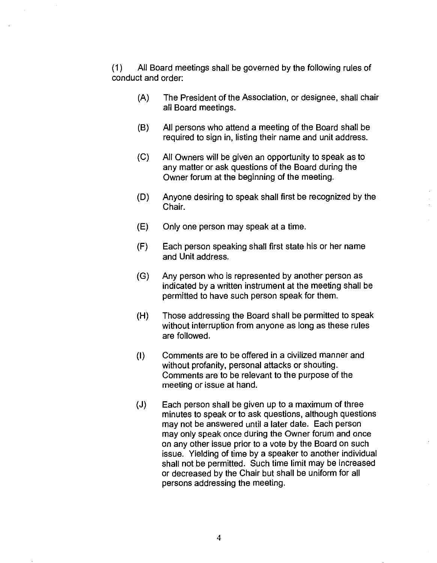(1) All Board meetings shall be governed by the following rules of conduct and order:

- (A) The President of the Association, or designee, shall chair all Board meetings.
- (B) All persons who attend a meeting of the Board shall be required to sign in, listing their name and unit address.
- (C) All Owners will be given an opportunity to speak as to any matter or ask questions of the Board during the Owner forum at the beginning of the meeting.
- (D) Anyone desiring to speak shall first be recognized by the Chair.
- (E) Only one person may speak at a time.
- (F) Each person speaking shall first state his or her name and Unit address.
- (G) Any person who is represented by another person as indicated by a written instrument at the meeting shall be permitted to have such person speak for them.
- (H) Those addressing the Board shall be permitted to speak without interruption from anyone as long as these rules are followed.
- (I) Comments are to be offered in a civilized manner and without profanity, personal attacks or shouting. Comments are to be relevant to the purpose of the meeting or issue at hand.
- (J) Each person shall be given up to a maximum of three minutes to speak or to ask questions, although questions may not be answered until a later date. Each person may only speak once during the Owner forum and once on any other issue prior to a vote by the Board on such issue. Yielding of time by a speaker to another individual shall not be permitted. Such time limit may be increased or decreased by the Chair but shall be uniform for all persons addressing the meeting.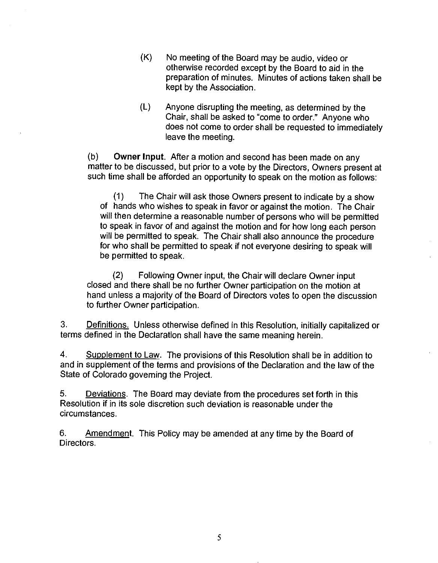- (K) No meeting of the Board may be audio, video or otherwise recorded except by the Board to aid in the preparation of minutes. Minutes of actions taken shall be kept by the Association.
- (L) Anyone disrupting the meeting, as determined by the Chair, shall be asked to "come to order." Anyone who does not come to order shall be requested to immediately leave the meeting.

(b) Owner Input. After a motion and second has been made on any matter to be discussed, but prior to a vote by the Directors, Owners present at such time shall be afforded an opportunity to speak on the motion as follows:

(1) The Chair will ask those Owners present to indicate by a show of hands who wishes to speak in favor or against the motion. The Chair will then determine a reasonable number of persons who will be permitted to speak in favor of and against the motion and for how long each person will be permitted to speak. The Chair shall also announce the procedure for who shall be permitted to speak if not everyone desiring to speak will be permitted to speak.

(2) Following Owner input, the Chair will declare Owner input closed and there shall be no further Owner participation on the motion at hand unless a majority of the Board of Directors votes to open the discussion to further Owner participation.

3. Definitions. Unless otherwise defined in this Resolution, initially capitalized or terms defined in the Declaration shall have the same meaning herein.

4. Supplement to Law. The provisions of this Resolution shall be in addition to and in supplement of the terms and provisions of the Declaration and the law of the State of Colorado governing the Project.

5. Deviations. The Board may deviate from the procedures set forth in this Resolution if in its sole discretion such deviation is reasonable under the circumstances.

6. Amendment. This Policy may be amended at any time by the Board of Directors.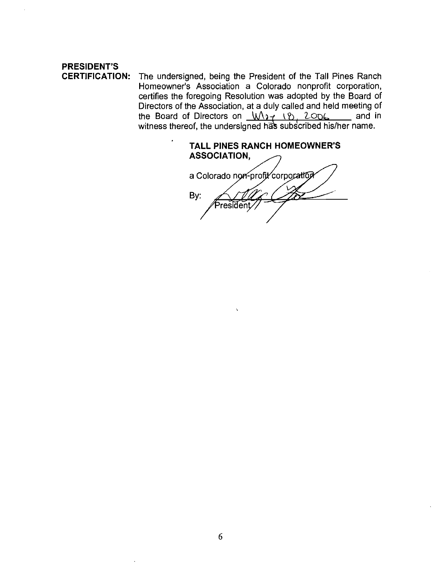# PRESIDENT'S

 $\bullet$ 

CERTIFICATION: The undersigned, being the President of the Tall Pines Ranch Homeowner's Association a Colorado nonprofit corporation, certifies the foregoing Resolution was adopted by the Board of Directors of the Association, at a duly called and held meeting of  $\frac{1}{2}$  of the Association, at a dary called and here modified the Board of Directors on  $\sqrt{1+\sqrt{2}}$ ,  $2006$  and in witness thereof, the undersigned has subscribed his/her name.

TALL PINES RANCH HOMEOWNER'S ASSOCIATION, a Colorado non-profit corporation By:esident<sup>.</sup>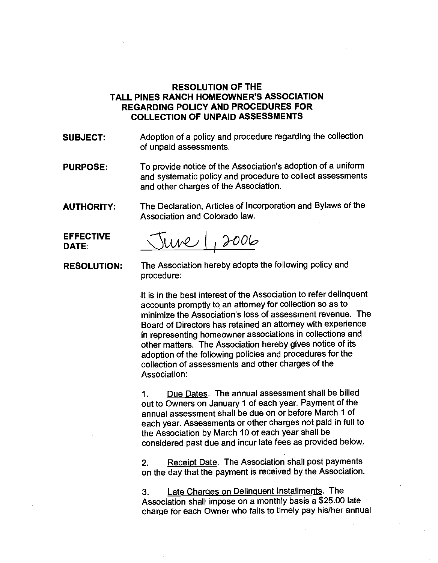#### RESOLUTION OF THE TALL PINES RANCH HOMEOWNER'S ASSOCIATION REGARDING POLICY AND PROCEDURES FOR COLLECTION OF UNPAID ASSESSMENTS

- SUBJECT: Adoption of a policy and procedure regarding the collection of unpaid assessments.
- PURPOSE: To provide notice of the Association's adoption of a uniform and systematic policy and procedure to collect assessments and other charges of the Association.
- AUTHORITY: The Declaration, Articles of Incorporation and Bylaws of the Association and Colorado law.

DATE:

EFFECTIVE JUVE 12006

RESOLUTION: The Association hereby adopts the following policy and procedure:

> It is in the best interest of the Association to refer delinquent accounts promptly to an attorney for collection so as to minimize the Association's loss of assessment revenue. The Board of Directors has retained an attorney with experience in representing homeowner associations in collections and other matters. The Association hereby gives notice of its adoption of the following policies and procedures for the collection of assessments and other charges of the Association:

1. Due Dates. The annual assessment shall be billed out to Owners on January 1 of each year. Payment of the annual assessment shall be due on or before March 1 of each year. Assessments or other charges not paid in full to the Association by March 10 of each year shall be considered past due and incur late fees as provided below.

2. Receipt Date. The Association shall post payments on the day that the payment is received by the Association.

3. Late Charges on Delinquent Installments. The Association shall impose on a monthly basis a \$25.00 late charge for each Owner who fails to timely pay his/her annual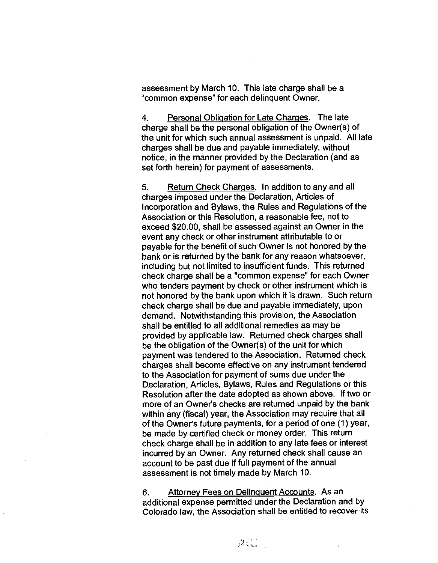assessment by March 10. This late charge shall be a "common expense" for each delinquent Owner.

4. Personal Obligation for Late Charges. The late charge shall be the personal obligation of the Owner(s) of the unit for which such annual assessment is unpaid. All late charges shall be due and payable immediately, without notice, in the manner provided by the Declaration (and as set forth herein) for payment of assessments.

5. Return Check Charges. In addition to any and all charges imposed under the Declaration, Articles of Incorporation and Bylaws, the Rules and Regulations of the Association or this Resolution, a reasonable fee, not to exceed \$20.00, shall be assessed against an Owner in the event any check or other instrument attributable to or payable for the benefit of such Owner is not honored by the bank or is returned by the bank for any reason whatsoever, including but not limited to insufficient funds. This returned check charge shall be a "common expense" for each Owner who tenders payment by check or other instrument which is not honored by the bank upon which it is drawn. Such return check charge shall be due and payable immediately, upon demand. Notwithstanding this provision, the Association shall be entitled to all additional remedies as may be provided by applicable law. Returned check charges shall be the obligation of the Owner(s) of the unit for which payment was tendered to the Association. Returned check charges shall become effective on any instrument tendered to the Association for payment of sums due under the Declaration, Articles, Bylaws, Rules and Regulations or this Resolution after the date adopted as shown above. If two or more of an Owner's checks are returned unpaid by the bank within any (fiscal) year, the Association may require that all of the Owner's future payments, for a period of one (1) year, be made by certified check or money order. This return check charge shall be in addition to any late fees or interest incurred by an Owner. Any returned check shall cause an account to be past due if full payment of the annual assessment is not timely made by March 10.

6. Attorney Fees on Delinguent Accounts. As an additional expense permitted under the Declaration and by Colorado law, the Association shall be entitled to recover its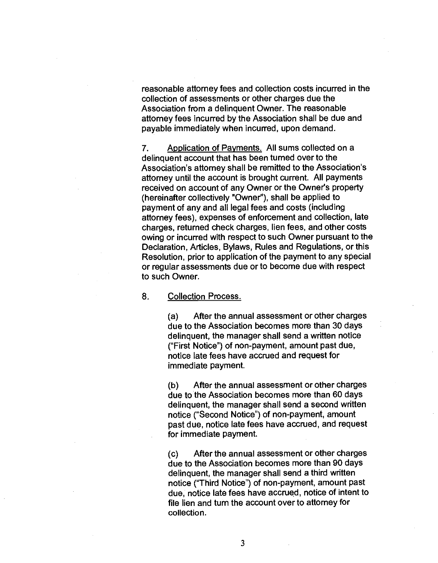reasonable attorney fees and collection costs incurred in the collection of assessments or other charges due the Association from a delinquent Owner. The reasonable attorney fees incurred by the Association shall be due and payable immediately when incurred, upon demand.

7. Application of Payments. All sums collected on a delinquent account that has been turned over to the Association's attorney shall be remitted to the Association's attorney until the account is brought current. All payments received on account of any Owner or the Owner's property (hereinafter collectively "Owner"), shall be applied to payment of any and all legal fees and costs (including attorney fees), expenses of enforcement and collection, late charges, returned check charges, lien fees, and other costs owing or incurred with respect to such Owner pursuant to the Declaration, Articles, Bylaws, Rules and Regulations, or this Resolution, prior to application of the payment to any special or regular assessments due or to become due with respect to such Owner.

#### 8. Collection Process.

(a) After the annual assessment or other charges due to the Association becomes more than 30 days delinquent, the manager shall send a written notice ("First Notice") of non-payment, amount past due, notice late fees have accrued and request for immediate payment.

(b) After the annual assessment or other charges due to the Association becomes more than 60 days delinquent, the manager shall send a second written notice ("Second Notice") of non-payment, amount past due, notice late fees have accrued, and request for immediate payment.

(c) After the annual assessment or other charges due to the Association becomes more than 90 days delinquent, the manager shall send a third written notice ("Third Notice") of non-payment, amount past due, notice late fees have accrued, notice of intent to file lien and turn the account over to attorney for collection.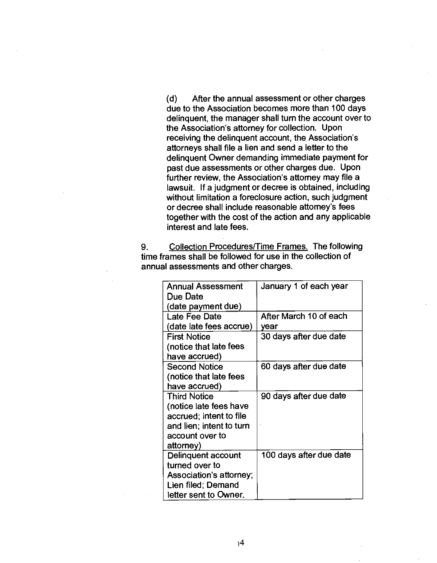(d) After the annual assessment or other charges due to the Association becomes more than 100 days delinquent, the manager shall turn the account over to the Association's attorney for collection. Upon receiving the delinquent account, the Association's attorneys shall file a lien and send a letter to the delinquent Owner demanding immediate payment for past due assessments or other charges due. Upon further review, the Association's attorney may file a lawsuit. If a judgment or decree is obtained, including without limitation a foreclosure action, such judgment or decree shall include reasonable attorney's fees together with the cost of the action and any applicable interest and late fees.

9. Collection Procedures/Time Frames. The following time frames shall be followed for use in the collection of annual assessments and other charges.

| Annual Assessment        | January 1 of each year  |
|--------------------------|-------------------------|
| Due Date                 |                         |
| (date payment due)       |                         |
| Late Fee Date            | After March 10 of each  |
| (date late fees accrue)  | year                    |
| <b>First Notice</b>      | 30 days after due date  |
| (notice that late fees   |                         |
| have accrued)            |                         |
| <b>Second Notice</b>     | 60 days after due date  |
| (notice that late fees   |                         |
| have accrued)            |                         |
| <b>Third Notice</b>      | 90 days after due date  |
| (notice late fees have   |                         |
| accrued; intent to file  |                         |
| and lien: intent to turn |                         |
| account over to          |                         |
| attorney)                |                         |
| Delinquent account       | 100 days after due date |
| turned over to           |                         |
| Association's attorney;  |                         |
| Lien filed; Demand       |                         |
| letter sent to Owner.    |                         |

 $\mathbf{A}$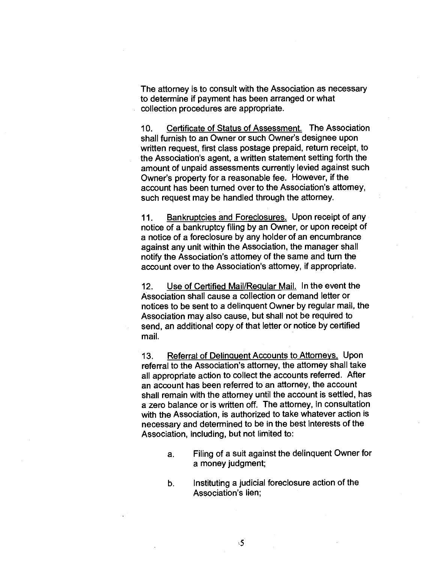The attorney is to consult with the Association as necessary to determine if payment has been arranged or what collection procedures are appropriate.

10. Certificate of Status of Assessment. The Association shall furnish to an Owner or such Owner's designee upon written request, first class postage prepaid, return receipt, to the Association's agent, a written statement setting forth the amount of unpaid assessments currently levied against such Owner's property for a reasonable fee. However, if the account has been turned over to the Association's attorney, such request may be handled through the attorney.

11. Bankruptcies and Foreclosures. Upon receipt of any notice of a bankruptcy filing by an Owner, or upon receipt of a notice of a foreclosure by any holder of an encumbrance against any unit within the Association, the manager shall notify the Association's attorney of the same and turn the account over to the Association's attorney, if appropriate.

12. Use of Certified Mail/Regular Mail. In the event the Association shall cause a collection or demand letter or notices to be sent to a delinquent Owner by regular mail, the Association may also cause, but shall not be required to send, an additional copy of that letter or notice by certified mail.

13. Referral of Delinquent Accounts to Attorneys. Upon referral to the Association's attorney, the attorney shall take all appropriate action to collect the accounts referred. After an account has been referred to an attorney, the account shall remain with the attorney until the account is settled, has a zero balance or is written off. The attorney, in consultation with the Association, is authorized to take whatever action is necessary and determined to be in the best interests of the Association, including, but not limited to:

- a. Filing of a suit against the delinquent Owner for a money judgment;
- b. Instituting a judicial foreclosure action of the Association's lien;

5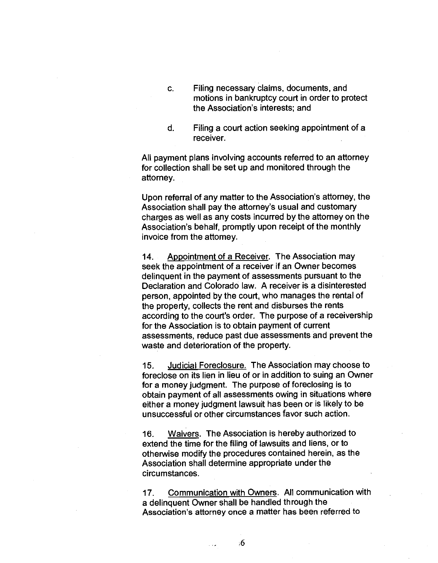- c. Filing necessary claims, documents, and motions in bankruptcy court in order to protect the Association's interests; and
- d. Filing a court action seeking appointment of a receiver.

All payment plans involving accounts referred to an attorney for collection shall be set up and monitored through the attorney.

Upon referral of any matter to the Association's attorney, the Association shall pay the attorney's usual and customary charges as well as any costs incurred by the attorney on the Association's behalf, promptly upon receipt of the monthly invoice from the attomey.

14. Appointment of a Receiver. The Association may seek the appointment of a receiver if an Owner becomes delinquent in the payment of assessments pursuant to the Declaration and Colorado law. A receiver is a disinterested person, appointed by the court, who manages the rental of the property, collects the rent and disburses the rents according to the court's order. The purpose of a receivership for the Association is to obtain payment of current assessments, reduce past due assessments and prevent the waste and deterioration of the property.

15. Judicial Foreclosure. The Association may choose to foreclose on its lien in lieu of or in addition to suing an Owner for a money judgment. The purpose of foreclosing is to obtain payment of all assessments owing in situations where either a money judgment lawsuit has been or is likely to be unsuccessful or other circumstances favor such action.

16. Waivers. The Association is hereby authorized to extend the time for the filing of lawsuits and liens, or to otherwise modify the procedures contained herein, as the Association shall determine appropriate under the circumstances.

17. Communication with Owners. All communication with a delinquent Owner shall be handled through the Association's attorney once a matter has been referred to

6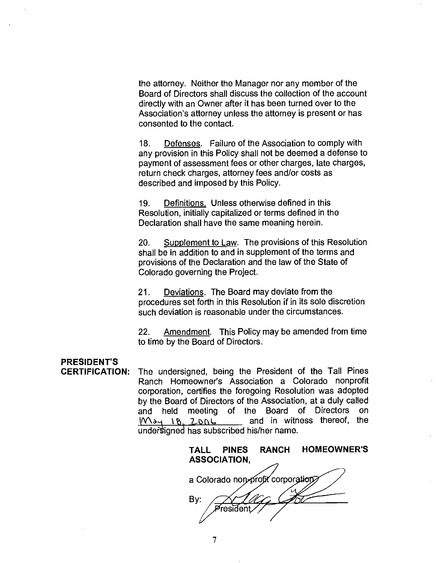the attorney. Neither the Manager nor any member of the Board of Directors shall discuss the collection of the account directly with an Owner after it has been turned over to the Association's attorney unless the attorney is present or has consented to the contact.

18. Defenses. Failure of the Association to comply with any provision in this Policy shall not be deemed a defense to payment of assessment fees or other charges, late charges, return check charges, attorney fees and/or costs as described and imposed by this Policy.

19. Definitions. Unless otherwise defined in this Resolution, initially capitalized or terms defined in the Declaration shall have the same meaning herein.

20. Supplement to Law. The provisions of this Resolution shall be in addition to and in supplement of the terms and provisions of the Declaration and the law of the State of Colorado governing the Project.

21. Deviations. The Board may deviate from the procedures set forth in this Resolution if in its sole discretion such deviation is reasonable under the circumstances.

22. Amendment. This Policy may be amended from time to time by the Board of Directors.

### PRESIDENT'S

CERTIFICATION: The undersigned, being the President of the Tall Pines Ranch Homeowner's Association a Colorado nonprofit corporation, certifies the foregoing Resolution was adopted by the Board of Directors of the Association, at a duly called and held meeting of the Board of Directors on  $M_{\text{avg}}$  18,  $2006$  and in witness thereof, the understigned has subscribed his/her name.

TALL PINES RANCH HOMEOWNER'S ASSOCIATION,

a Colorado non-profit corporation By:Pีresiden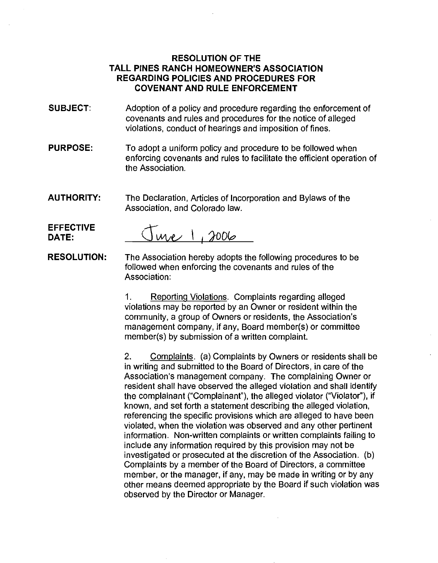#### RESOLUTION OF THE TALL PINES RANCH HOMEOWNER'S ASSOCIATION REGARDING POLICIES AND PROCEDURES FOR COVENANT AND RULE ENFORCEMENT

- SUBJECT: Adoption of a policy and procedure regarding the enforcement of covenants and rules and procedures for the notice of alleged violations, conduct of hearings and imposition of fines.
- PURPOSE: To adopt a uniform policy and procedure to be followed when enforcing covenants and rules to facilitate the efficient operation of the Association.
- AUTHORITY: The Declaration, Articles of Incorporation and Bylaws of the Association, and Colorado law.

#### EFFECTIVE DATE:  $\sqrt{w}$   $\sqrt{w}$   $\sqrt{2006}$

RESOLUTION: The Association hereby adopts the following procedures to be followed when enforcing the covenants and rules of the Association:

> 1. Reporting Violations. Complaints regarding alleged violations may be reported by an Owner or resident within the community, a group of Owners or residents, the Association's management company, if any, Board member(s) or committee member(s) by submission of a written complaint.

2. Complaints. (a) Complaints by Owners or residents shall be in writing and submitted to the Board of Directors, in care of the Association's management company. The complaining Owner or resident shall have observed the alleged violation and shall identify the complainant ("Complainant"), the alleged violator ("Violator"), if known, and set forth a statement describing the alleged violation, referencing the specific provisions which are alleged to have been violated, when the violation was observed and any other pertinent information. Non-written complaints or written complaints failing to include any information required by this provision may not be investigated or prosecuted at the discretion of the Association. (b) Complaints by a member of the Board of Directors, a committee member, or the manager, if any, may be made in writing or by any other means deemed appropriate by the Board if such violation was observed by the Director or Manager.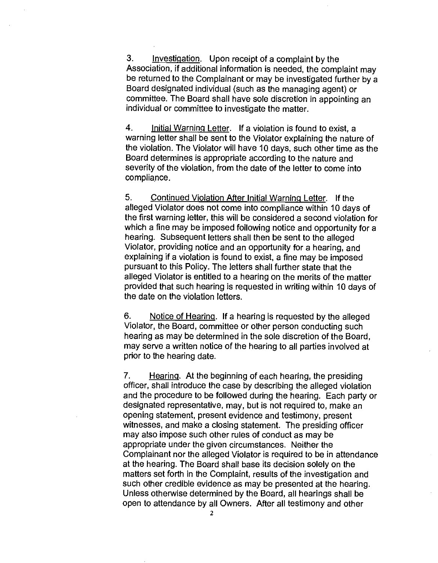3. Investigation. Upon receipt of a complaint by the Association, if additional information is needed, the complaint may be returned to the Complainant or may be investigated further by a Board designated individual (such as the managing agent) or committee. The Board shall have sole discretion in appointing an individual or committee to investigate the matter.

4. Initial Warning Letter. If a violation is found to exist, a warning letter shall be sent to the Violator explaining the nature of the violation. The Violator will have 10 days, such other time as the Board determines is appropriate according to the nature and severity of the violation, from the date of the letter to come into compliance.

5. Continued Violation After Initial Warning Letter. If the alleged Violator does not come into compliance within 10 days of the first warning letter, this will be considered a second violation for which a fine may be imposed following notice and opportunity for a hearing. Subsequent letters shall then be sent to the alleged Violator, providing notice and an opportunity for a hearing, and explaining if a violation is found to exist, a fine may be imposed pursuant to this Policy. The letters shall further state that the alleged Violator is entitled to a hearing on the merits of the matter provided that such hearing is requested in writing within 10 days of the date on the violation letters.

6. Notice of Hearing. If a hearing is requested by the alleged Violator, the Board, committee or other person conducting such hearing as may be determined in the sole discretion of the Board, may serve a written notice of the hearing to all parties involved at prior to the hearing date.

7. Hearing. At the beginning of each hearing, the presiding officer, shall introduce the case by describing the alleged violation and the procedure to be followed during the hearing. Each party or designated representative, may, but is not required to, make an opening statement, present evidence and testimony, present witnesses, and make a closing statement. The presiding officer may also impose such other rules of conduct as may be appropriate under the given circumstances. Neither the Complainant nor the alleged Violator is required to be in attendance at the hearing. The Board shall base its decision solely on the matters set forth in the Complaint, results of the investigation and such other credible evidence as may be presented at the hearing. Unless otherwise determined by the Board, all hearings shall be open to attendance by all Owners. After all testimony and other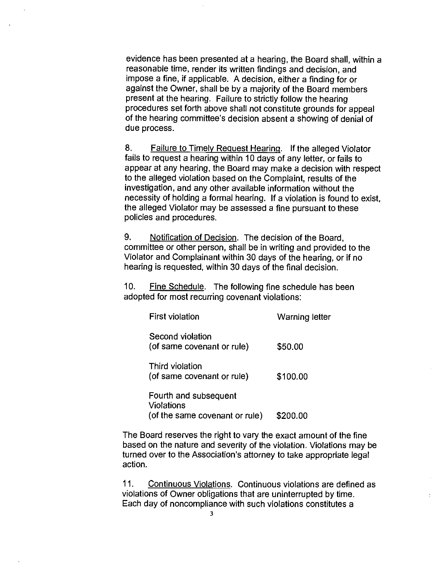evidence has been presented at a hearing, the Board shall, within a reasonable time, render its written findings and decision, and impose a fine, if applicable. A decision, either a finding for or against the Owner, shall be by a majority of the Board members present at the hearing. Failure to strictly follow the hearing procedures set forth above shall not constitute grounds for appeal of the hearing committee's decision absent a showing of denial of due process.

8. Failure to Timely Request Hearing. If the alleged Violator fails to request a hearing within 10 days of any letter, or fails to appear at any hearing, the Board may make a decision with respect to the alleged violation based on the Complaint, results of the investigation, and any other available information without the necessity of holding a formal hearing. If a violation is found to exist, the alleged Violator may be assessed a fine pursuant to these policies and procedures.

9. Notification of Decision. The decision of the Board, committee or other person, shall be in writing and provided to the Violator and Complainant within 30 days of the hearing, or if no hearing is requested, within 30 days of the final decision.

10. Fine Schedule. The following fine schedule has been adopted for most recurring covenant violations:

| <b>First violation</b>                                                       | <b>Warning letter</b> |
|------------------------------------------------------------------------------|-----------------------|
| Second violation<br>(of same covenant or rule)                               | \$50.00               |
| Third violation<br>(of same covenant or rule)                                | \$100.00              |
| Fourth and subsequent<br><b>Violations</b><br>(of the same covenant or rule) | \$200.00              |

The Board reserves the right to vary the exact amount of the fine based on the nature and severity of the violation. Violations may be turned over to the Association's attorney to take appropriate legal action.

11. Continuous Violations. Continuous violations are defined as violations of Owner obligations that are uninterrupted by time. Each day of noncompliance with such violations constitutes a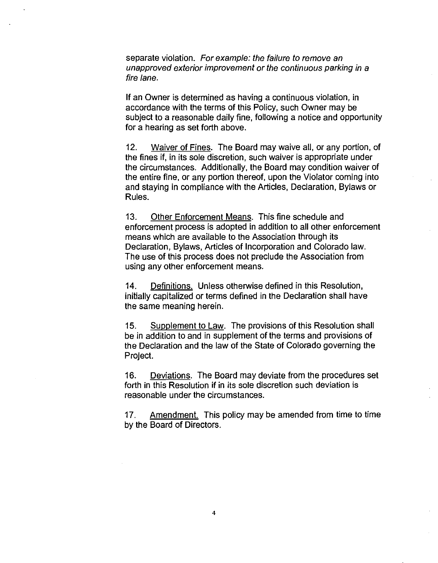separate violation. For example: the failure to remove an unapproved exterior improvement or the continuous parking in a fire lane.

If an Owner is determined as having a continuous violation, in accordance with the terms of this Policy, such Owner may be subject to a reasonable daily fine, following a notice and opportunity for a hearing as set forth above.

12. Waiver of Fines. The Board may waive all, or any portion, of the fines if, in its sole discretion, such waiver is appropriate under the circumstances. Additionally, the Board may condition waiver of the entire fine, or any portion thereof, upon the Violator coming into and staying in compliance with the Articles, Declaration, Bylaws or Rules.

13. Other Enforcement Means. This fine schedule and enforcement process is adopted in addition to all other enforcement means which are available to the Association through its Declaration, Bylaws, Articles of Incorporation and Colorado law. The use of this process does not preclude the Association from using any other enforcement means.

14. Definitions. Unless otherwise defined in this Resolution, initially capitalized or terms defined in the Declaration shall have the same meaning herein.

15. Supplement to Law. The provisions of this Resolution shall be in addition to and in supplement of the terms and provisions of the Declaration and the law of the State of Colorado governing the Project.

16. Deviations. The Board may deviate from the procedures set forth in this Resolution if in its sole discretion such deviation is reasonable under the circumstances.

17. Amendment. This policy may be amended from time to time by the Board of Directors.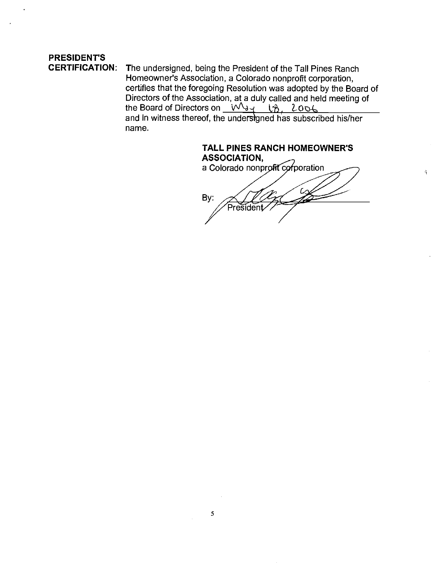# PRESIDENTS

CERTIFICATION: The undersigned, being the President of the Tall Pines Ranch Homeowner's Association, a Colorado nonprofit corporation, certifies that the foregoing Resolution was adopted by the Board of Directors of the Association, at a duly called and held meeting of the Board of Directors on  $\sqrt{u_{d}}$  US 2006 and in witness thereof, the undersigned has subscribed his/her name.

TALL PINES RANCH HOMEOWNER'S ASSOCIATION, a Colorado nonprofit corporation By:President

 $\tilde{A}$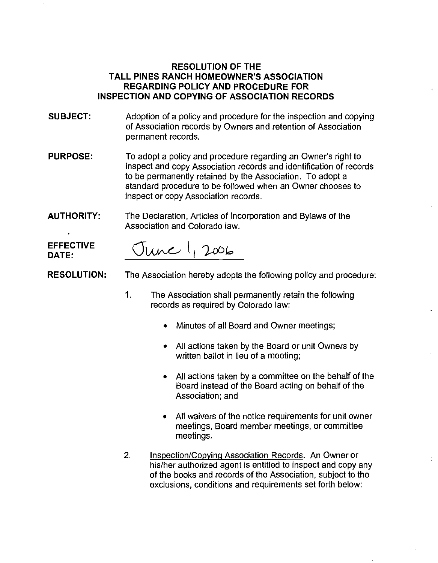#### RESOLUTION OF THE TALL PINES RANCH HOMEOWNER'S ASSOCIATION REGARDING POLICY AND PROCEDURE FOR INSPECTION AND COPYING OF ASSOCIATION RECORDS

- SUBJECT: Adoption of a policy and procedure for the inspection and copying of Association records by Owners and retention of Association permanent records.
- PURPOSE: To adopt a policy and procedure regarding an Owner's right to inspect and copy Association records and identification of records to be permanently retained by the Association. To adopt a standard procedure to be followed when an Owner chooses to inspect or copy Association records.
- AUTHORITY: The Declaration, Articles of Incorporation and Bylaws of the Association and Colorado law.

EFFECTIVE  $\sigma_{\text{L}}(2006)$ 

RESOLUTION: The Association hereby adopts the following policy and procedure:

- 1. The Association shall permanently retain the following records as required by Colorado law:
	- Minutes of all Board and Owner meetings;
	- All actions taken by the Board or unit Owners by written ballot in lieu of a meeting;
	- All actions taken by a committee on the behalf of the Board instead of the Board acting on behalf of the Association; and
	- All waivers of the notice requirements for unit owner meetings, Board member meetings, or committee meetings.
- 2. Inspection/Copying Association Records. An Owner or his/her authorized agent is entitled to inspect and copy any of the books and records of the Association, subject to the exclusions, conditions and requirements set forth below: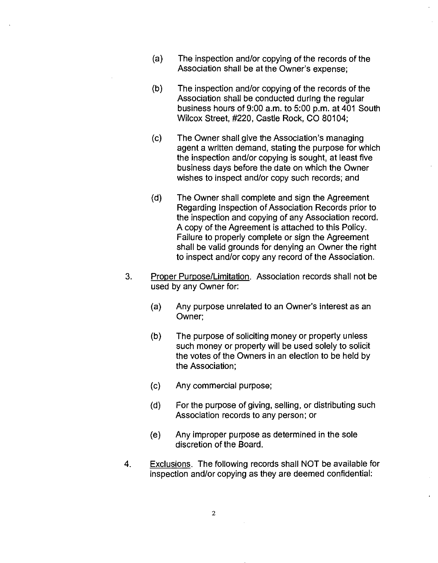- (a) The inspection and/or copying of the records of the Association shall be at the Owner's expense;
- (b) The inspection and/or copying of the records of the Association shall be conducted during the regular business hours of 9:00 a.m. to 5:00 p.m. at 401 South Wilcox Street, #220, Castle Rock, CO 80104;
- (c) The Owner shall give the Association's managing agent a written demand, stating the purpose for which the inspection and/or copying is sought, at least five business days before the date on which the Owner wishes to inspect and/or copy such records; and
- (d) The Owner shall complete and sign the Agreement Regarding Inspection of Association Records prior to the inspection and copying of any Association record. A copy of the Agreement is attached to this Policy. Failure to properly complete or sign the Agreement shall be valid grounds for denying an Owner the right to inspect and/or copy any record of the Association.
- 3. Proper Purpose/Limitation. Association records shall not be used by any Owner for:
	- (a) Any purpose unrelated to an Owner's interest as an Owner;
	- (b) The purpose of soliciting money or property unless such money or property will be used solely to solicit the votes of the Owners in an election to be held by the Association;
	- (c) Any commercial purpose;
	- (d) For the purpose of giving, selling, or distributing such Association records to any person; or
	- (e) Any improper purpose as determined in the sole discretion of the Board.
- 4. Exclusions. The following records shall NOT be available for inspection and/or copying as they are deemed confidential: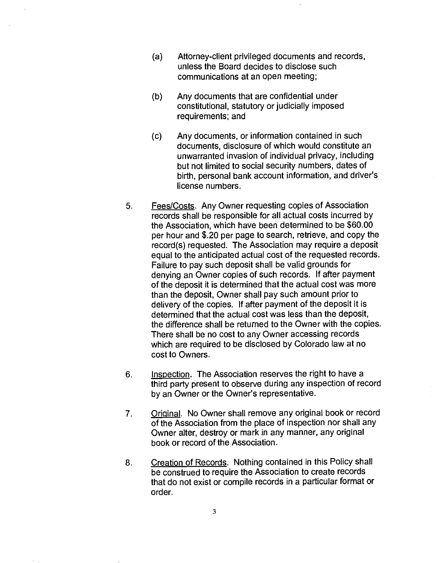- (a) Attorney-client privileged documents and records, unless the Board decides to disclose such communications at an open meeting;
- (b) Any documents that are confidential under constitutional, statutory or judicially imposed requirements; and
- (c) Any documents, or information contained in such documents, disclosure of which would constitute an unwarranted invasion of individual privacy, including but not limited to social security numbers, dates of birth, personal bank account information, and driver's license numbers.
- 5. Fees/Costs. Any Owner requesting copies of Association records shall be responsible for all actual costs incurred by the Association, which have been determined to be \$60.00 per hour and \$.20 per page to search, retrieve, and copy the record(s) requested. The Association may require a deposit equal to the anticipated actual cost of the requested records. Failure to pay such deposit shall be valid grounds for denying an Owner copies of such records. If after payment of the deposit it is determined that the actual cost was more than the deposit, Owner shall pay such amount prior to delivery of the copies. If after payment of the deposit it is determined that the actual cost was less than the deposit, the difference shall be returned to the Owner with the copies. There shall be no cost to any Owner accessing records which are required to be disclosed by Colorado law at no cost to Owners.
- 6. Inspection. The Association reserves the right to have a third party present to observe during any inspection of record by an Owner or the Owner's representative.
- 7. Original. No Owner shall remove any original book or record of the Association from the place of inspection nor shall any Owner alter, destroy or mark in any manner, any original book or record of the Association.
- 8. Creation of Records. Nothing contained in this Policy shall be construed to require the Association to create records that do not exist or compile records in a particular format or order.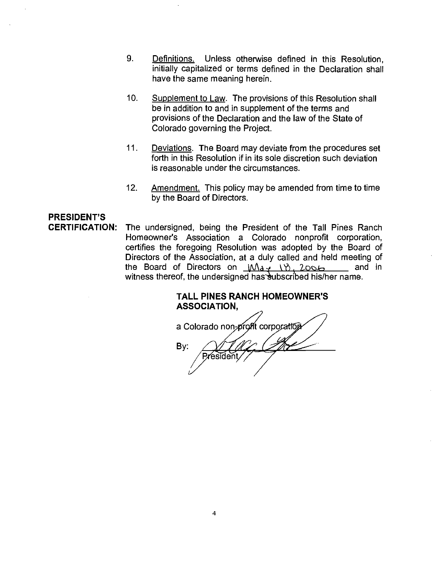- 9. Definitions. Unless otherwise defined in this Resolution, initially capitalized or terms defined in the Declaration shall have the same meaning herein.
- 10. Supplement to Law. The provisions of this Resolution shall be in addition to and in supplement of the terms and provisions of the Declaration and the law of the State of Colorado governing the Project.
- 11. Deviations. The Board may deviate from the procedures set forth in this Resolution if in its sole discretion such deviation is reasonable under the circumstances.
- 12. Amendment. This policy may be amended from time to time by the Board of Directors.

### PRESIDENT'S

CERTIFICATION: The undersigned, being the President of the Tall Pines Ranch Homeowner's Association a Colorado nonprofit corporation, certifies the foregoing Resolution was adopted by the Board of Directors of the Association, at a duly called and held meeting of the Board of Directors on  $M_{\text{d}}$   $M_{\text{d}}$   $M_{\text{d}}$   $M_{\text{d}}$   $M_{\text{d}}$  and in witness thereof, the undersigned has subscribed his/her name.

> TALL PINES RANCH HOMEOWNER'S ASSOCIATION,

a Colorado non-profit corporation By:esident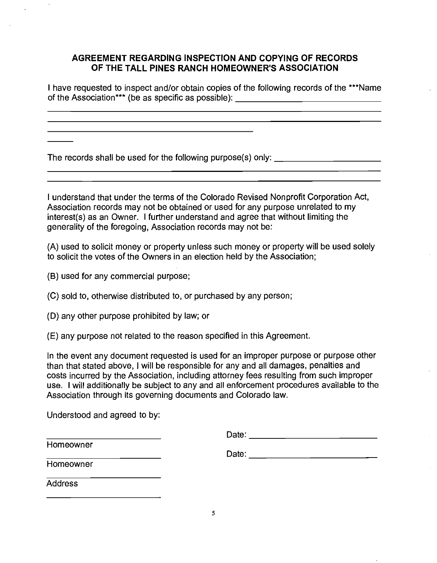### AGREEMENT REGARDING INSPECTION AND COPYING OF RECORDS OF THE TALL PINES RANCH HOMEOWNER'S ASSOCIATION

I have requested to inspect and/or obtain copies of the following records of the \*\*\*Name of the Association\*\*\* (be as specific as possible): \_\_\_\_\_\_\_\_\_\_\_\_\_\_\_\_\_\_\_\_\_\_\_\_\_\_\_\_\_

The records shall be used for the following purpose(s) only: \_\_\_\_\_\_\_\_\_\_\_\_\_\_\_\_\_\_\_

I understand that under the terms of the Colorado Revised Nonprofit Corporation Act, Association records may not be obtained or used for any purpose unrelated to my interest(s) as an Owner. I further understand and agree that without limiting the generality of the foregoing, Association records may not be:

<u> 1989 - Andrea Santa Andrea Andrea Andrea Andrea Andrea Andrea Andrea Andrea Andrea Andrea Andrea Andrea Andr</u>

(A) used to solicit money or property unless such money or property will be used solely to solicit the votes of the Owners in an election held by the Association;

(B) used for any commercial purpose;

(C) sold to, otherwise distributed to, or purchased by any person;

(D) any other purpose prohibited by law; or

(E) any purpose not related to the reason specified in this Agreement.

In the event any document requested is used for an improper purpose or purpose other than that stated above, I will be responsible for any and all damages, penalties and costs incurred by the Association, including attorney fees resulting from such improper use. I will additionally be subject to any and all enforcement procedures available to the Association through its governing documents and Colorado law.

Understood and agreed to by:

|                | Date: |  |
|----------------|-------|--|
| Homeowner      | Date: |  |
| Homeowner      |       |  |
| <b>Address</b> |       |  |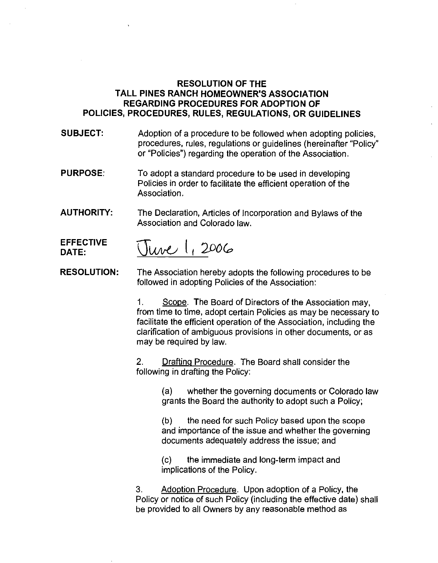#### RESOLUTION OF THE TALL PINES RANCH HOMEOWNER'S ASSOCIATION REGARDING PROCEDURES FOR ADOPTION OF POLICIES, PROCEDURES, RULES, REGULATIONS, OR GUIDELINES

SUBJECT: Adoption of a procedure to be followed when adopting policies, procedures, rules, regulations or guidelines (hereinafter "Policy" or "Policies") regarding the operation of the Association.

- PURPOSE: To adopt a standard procedure to be used in developing Policies in order to facilitate the efficient operation of the Association.
- AUTHORITY: The Declaration, Articles of Incorporation and Bylaws of the Association and Colorado law.
- EFFECTIVE DATE:



RESOLUTION: The Association hereby adopts the following procedures to be followed in adopting Policies of the Association:

> 1. Scope. The Board of Directors of the Association may, from time to time, adopt certain Policies as may be necessary to facilitate the efficient operation of the Association, including the clarification of ambiguous provisions in other documents, or as may be required by law.

2. Drafting Procedure. The Board shall consider the following in drafting the Policy:

> (a) whether the governing documents or Colorado law grants the Board the authority to adopt such a Policy;

(b) the need for such Policy based upon the scope and importance of the issue and whether the governing documents adequately address the issue; and

(c) the immediate and long-term impact and implications of the Policy.

3. Adoption Procedure. Upon adoption of a Policy, the Policy or notice of such Policy (including the effective date) shall be provided to all Owners by any reasonable method as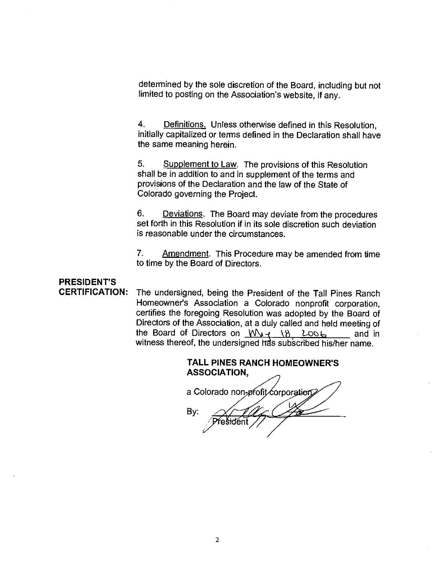determined by the sole discretion of the Board, including but not limited to posting on the Association's website, if any.

4. Definitions. Unless otherwise defined in this Resolution, initially capitalized or terms defined in the Declaration shall have the same meaning herein.

5. Supplement to Law. The provisions of this Resolution shall be in addition to and in supplement of the terms and provisions of the Declaration and the law of the State of Colorado governing the Project.

6. Deviations. The Board may deviate from the procedures set forth in this Resolution if in its sole discretion such deviation is reasonable under the circumstances.

7. Amendment. This Procedure may be amended from time to time by the Board of Directors.

# PRESIDENT'S

CERTIFICATION: The undersigned, being the President of the Tall Pines Ranch Homeowner's Association a Colorado nonprofit corporation, certifies the foregoing Resolution was adopted by the Board of Directors of the Association, at a duly called and held meeting of the Board of Directors on  $W_{3}$   $\left(\frac{18}{100}\right)$  Loos and in witness thereof, the undersigned has subscribed his/her name.

> TALL PINES RANCH HOMEOWNER'S ASSOCIATION,

By: a Colorado non-profit corporation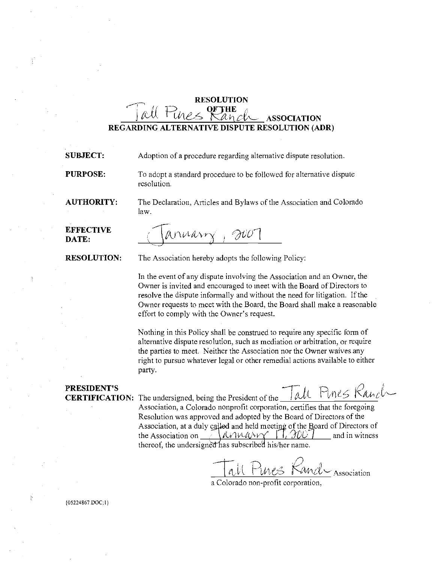### RESOLUTION Znes <u>pethe</u><br>Thes Kanch Association REGARDING ALTERNATIVE DISPUTE RESOLUTION (ADR)

**SUBJECT:** Adoption of a procedure regarding alternative dispute resolution. **PURPOSE:** To adopt a standard procedure to be followed for alternative dispute resolution. **AUTHORITY:** The Declaration, Articles and Bylaws of the Association and Colorado law.

EFFECTIVE  $\bigcap_{A \in \mathcal{A}} \bigcup_{A \in \mathcal{A}} \bigcup_{A \in \mathcal{A}} \bigcup_{A \in \mathcal{A}} \bigcap_{A \in \mathcal{A}}$ DATE:  $\left\{V\cup W\cup W\right\}\neq\infty$ 

**RESOLUTION:** The Association hereby adopts the following Policy:

In the event of any dispute involving the Association and an Owner, the Owner is invited and encouraged to meet with the Board of Directors to resolve the dispute informally and without the need for litigation. If the Owner requests to meet with the Board, the Board shall make a reasonable effort to comply with the Owner's request.

Nothing in this Policy shall be construed to require any specific form of alternative dispute resolution, such as mediation or arbitration, or require the parties to meet. Neither the Association nor the Owner waives any right to pursue whatever legal or other remedial actions available to either party.

**PRESIDENT'S**<br>**CERTIFICATION:** The undersigned, being the President of the  $\overline{\phantom{a}}$  all  $\overline{\phantom{a}}$  PLMeS  $\overline{\phantom{a}}$  Ranculture

Association, a Colorado nonprofit corporation, certifies that the foregoing Resolution was approved and adopted by the Board of Directors of the Association, at a duly called and held meeting of the Board of Directors of Resolution was approved and adopted by the Board of Directors of the<br>Association, at a duly called and held meeting of the Board of Directors of<br>the Association on  $\frac{M}{M}$  $\frac{M}{M}$  $\frac{M}{M}$   $\frac{M}{M}$  and in witness thereof, the undersigned has subscribed his/her name.

Tall Pines Kand Association

a Colorado non-profit corporation.

(052248 67 Doe; l}